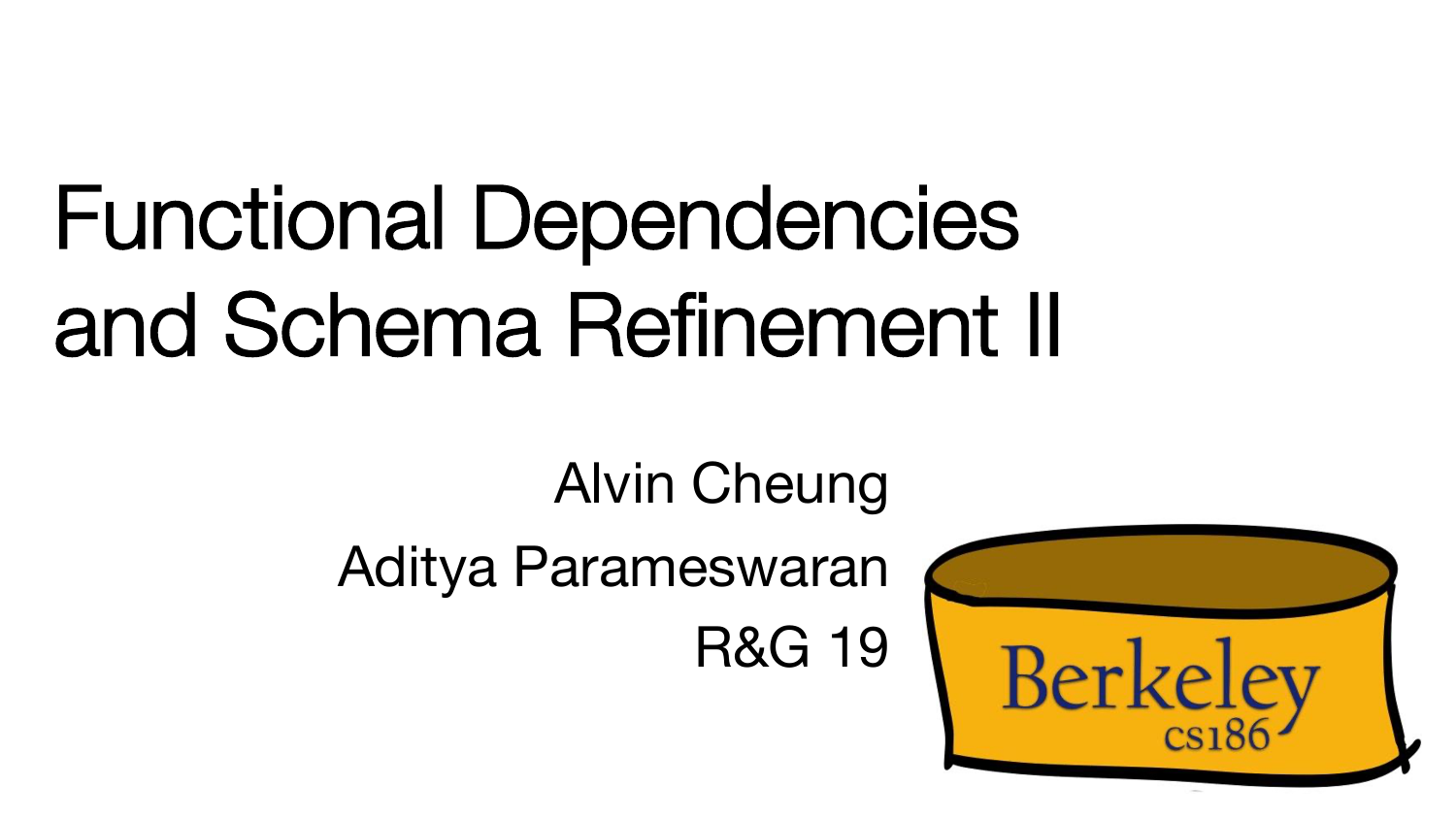# Functional Dependencies and Schema Refinement II

Alvin Cheung

Aditya Parameswaran

R&G 19

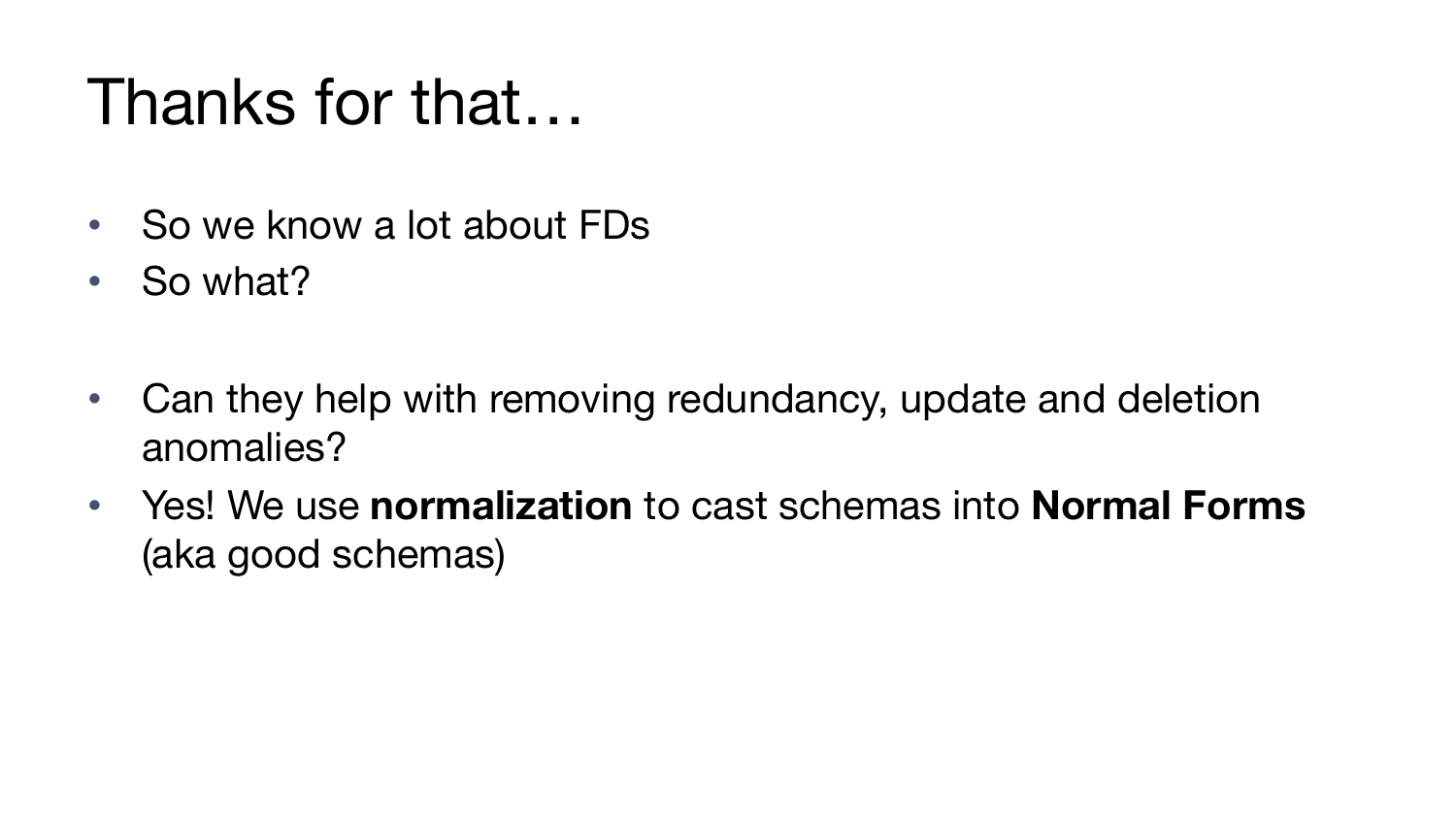### Thanks for that…

- So we know a lot about FDs
- So what?
- Can they help with removing redundancy, update and deletion anomalies?
- Yes! We use **normalization** to cast schemas into **Normal Forms**  (aka good schemas)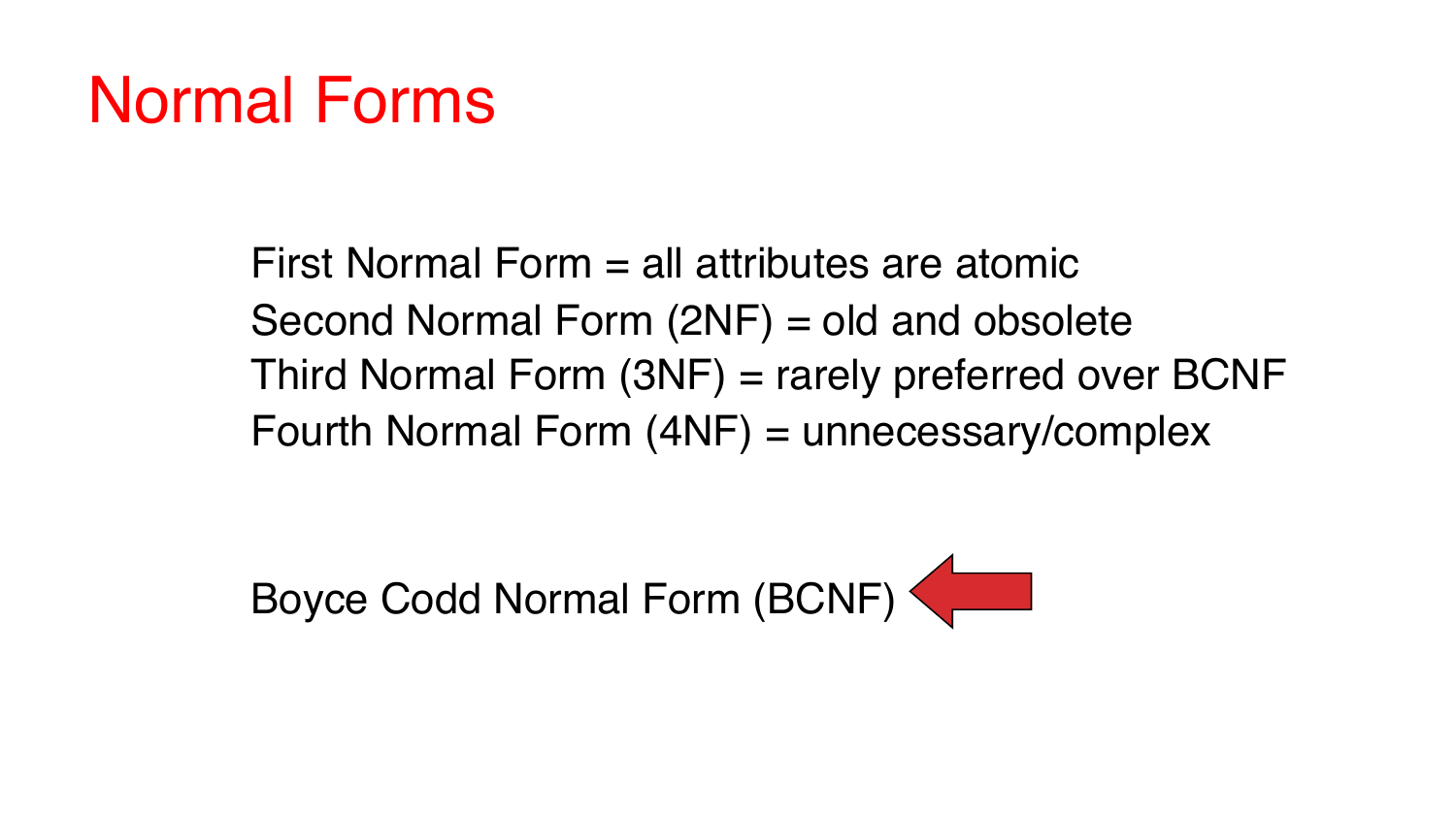### Normal Forms

First Normal Form = all attributes are atomic Second Normal Form (2NF) = old and obsolete Third Normal Form (3NF) = rarely preferred over BCNF Fourth Normal Form (4NF) = unnecessary/complex

Boyce Codd Normal Form (BCNF)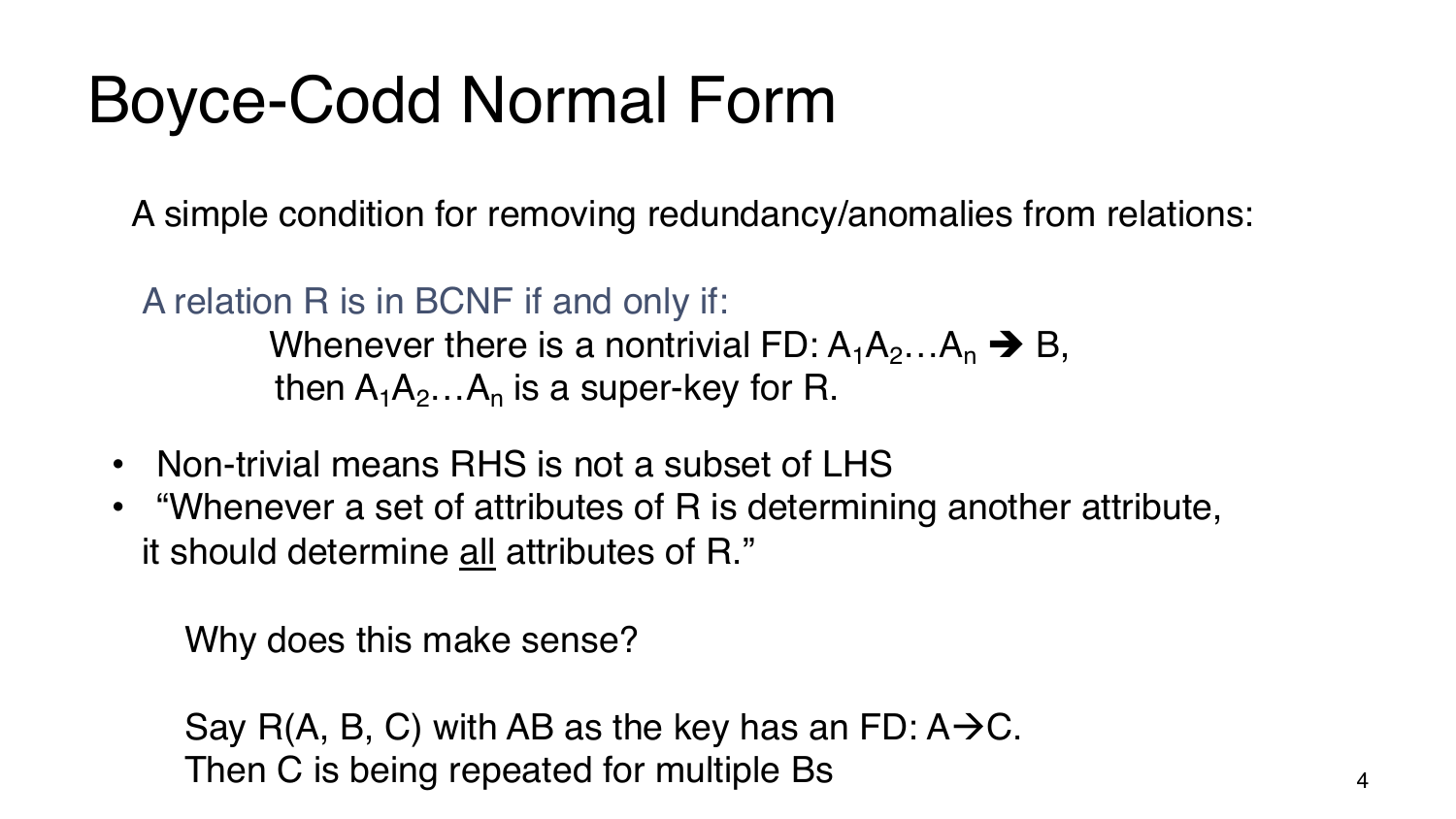### Boyce-Codd Normal Form

A simple condition for removing redundancy/anomalies from relations:

A relation R is in BCNF if and only if:

Whenever there is a nontrivial FD:  $A_1A_2...A_n \rightarrow B$ , then  $A_1A_2...A_n$  is a super-key for R.

- Non-trivial means RHS is not a subset of LHS
- "Whenever a set of attributes of R is determining another attribute, it should determine all attributes of R."

Why does this make sense?

Say R(A, B, C) with AB as the key has an FD:  $A\rightarrow C$ . Then C is being repeated for multiple Bs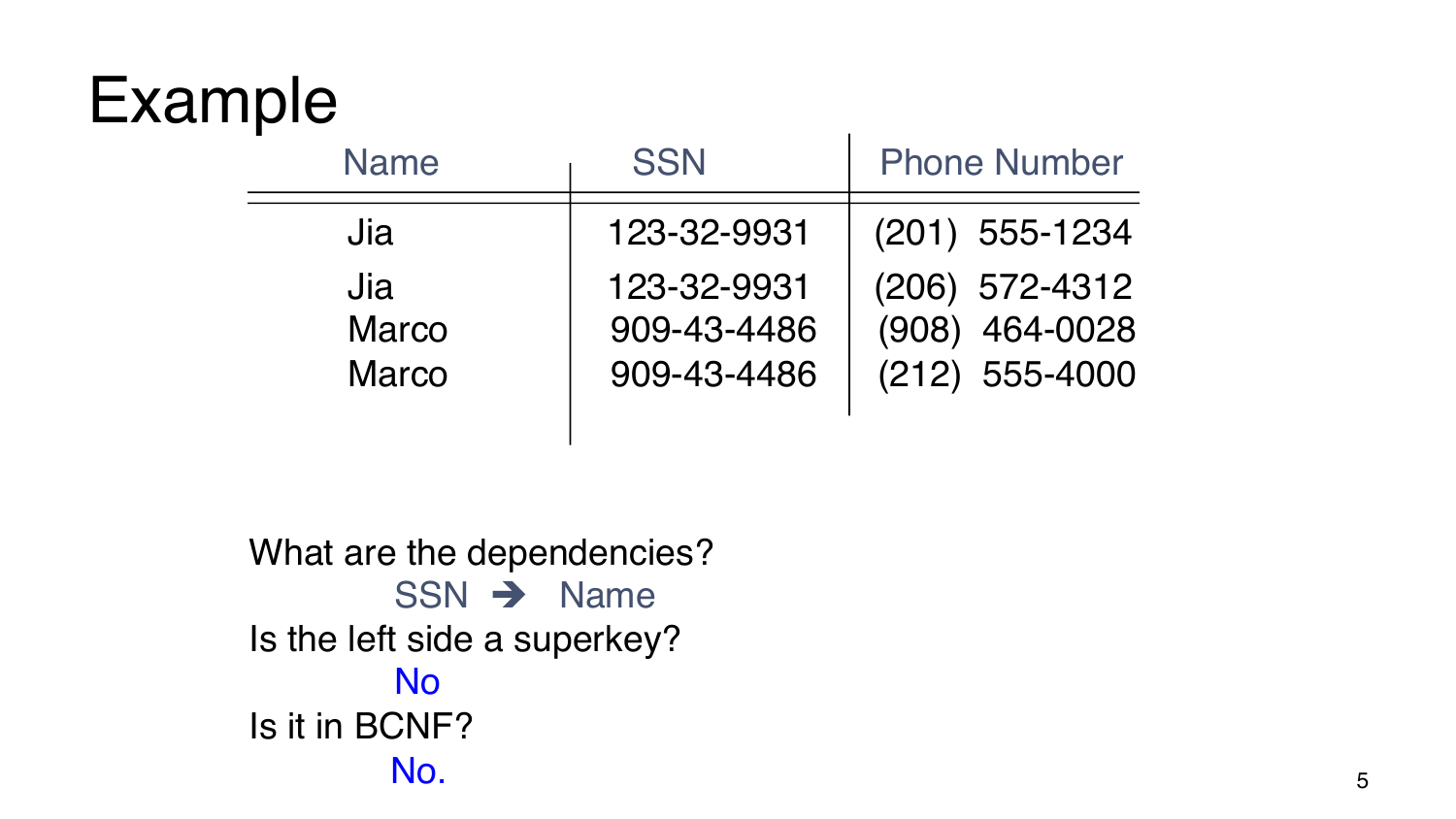| <b>Name</b>                         | <b>SSN</b>                                | <b>Phone Number</b>                                  |
|-------------------------------------|-------------------------------------------|------------------------------------------------------|
| Jia                                 | 123-32-9931                               | (201) 555-1234                                       |
| Jia<br><b>Marco</b><br><b>Marco</b> | 123-32-9931<br>909-43-4486<br>909-43-4486 | (206) 572-4312<br>(908) 464-0028<br>$(212)$ 555-4000 |

What are the dependencies?  $SSN \rightarrow Name$ Is the left side a superkey? No Is it in BCNF? No.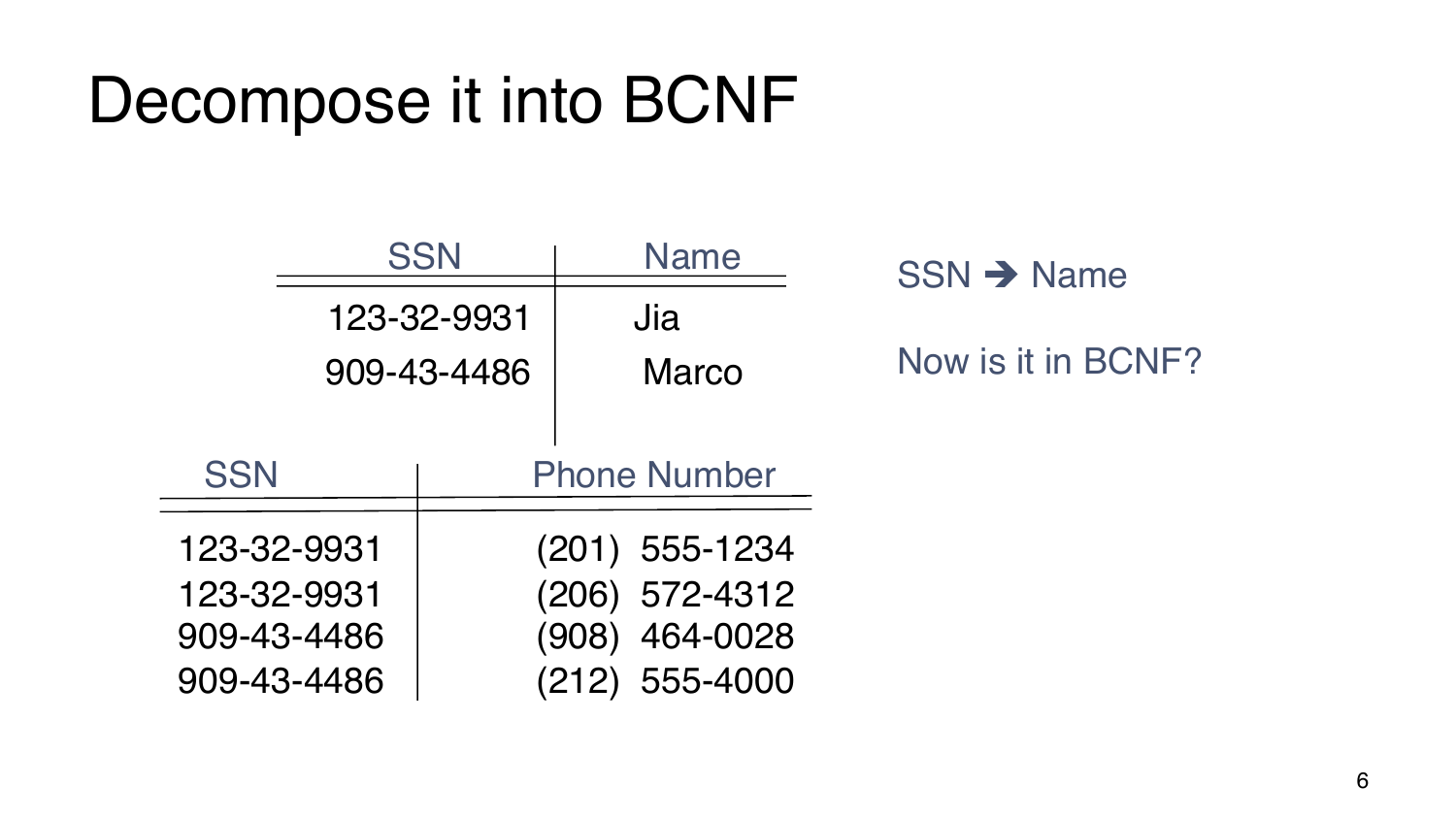### Decompose it into BCNF

|             |             | <b>SSN</b>     | Name                | $SSN \rightarrow Name$ |
|-------------|-------------|----------------|---------------------|------------------------|
| 123-32-9931 |             | Jia            |                     |                        |
| 909-43-4486 |             | <b>Marco</b>   | Now is it in BCNF?  |                        |
|             |             |                |                     |                        |
|             | <b>SSN</b>  |                | <b>Phone Number</b> |                        |
| 123-32-9931 |             | (201) 555-1234 |                     |                        |
| 123-32-9931 |             | (206) 572-4312 |                     |                        |
|             | 909-43-4486 |                | 464-0028<br>(908)   |                        |
|             | 909-43-4486 |                | (212) 555-4000      |                        |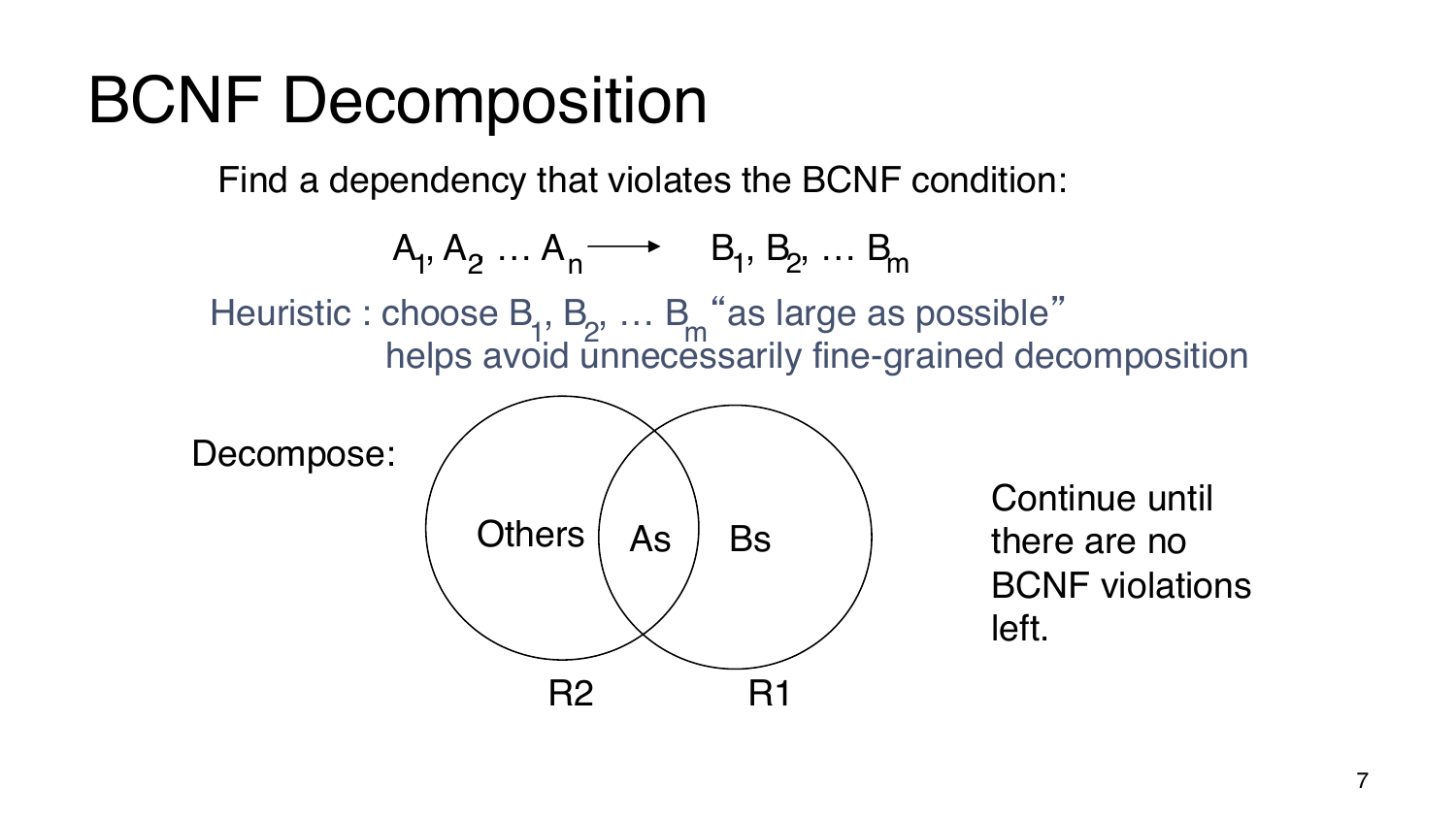### BCNF Decomposition

Find a dependency that violates the BCNF condition:

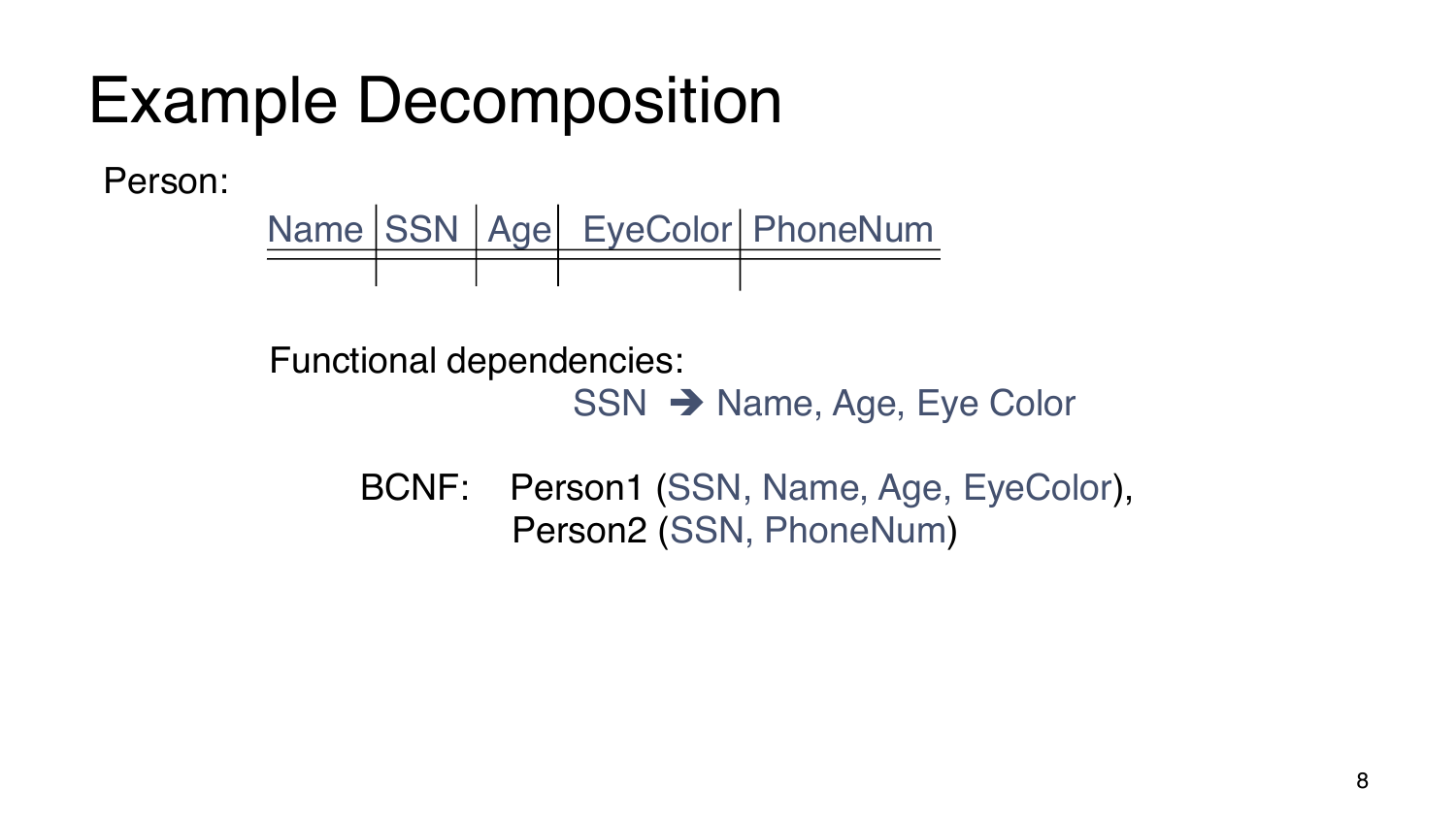## Example Decomposition

Person:

Name SSN | Age | EyeColor | PhoneNum

Functional dependencies:

SSN → Name, Age, Eye Color

BCNF: Person1 (SSN, Name, Age, EyeColor), Person2 (SSN, PhoneNum)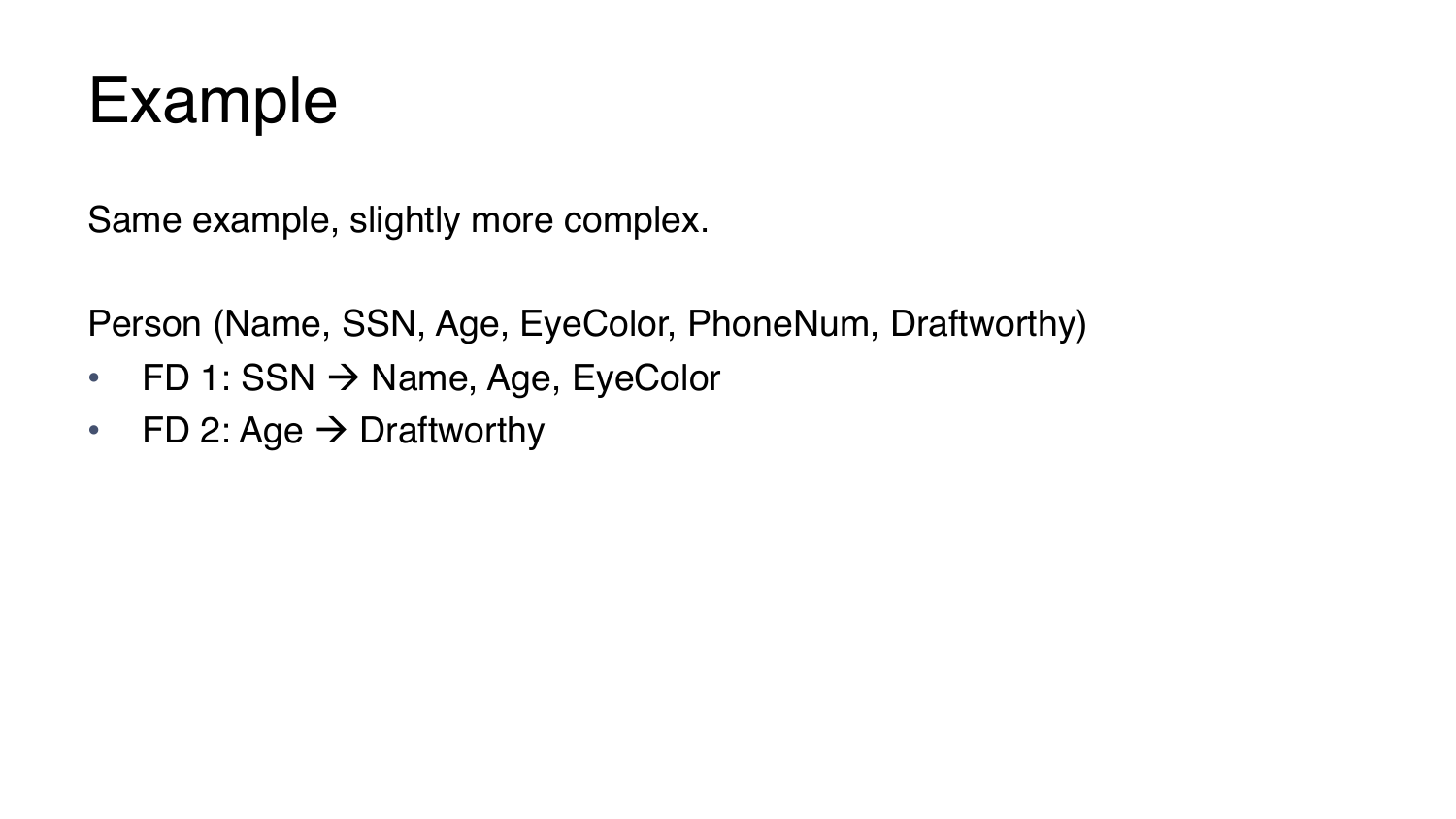

Same example, slightly more complex.

Person (Name, SSN, Age, EyeColor, PhoneNum, Draftworthy)

- FD 1: SSN  $\rightarrow$  Name, Age, EyeColor
- FD 2: Age  $\rightarrow$  Draftworthy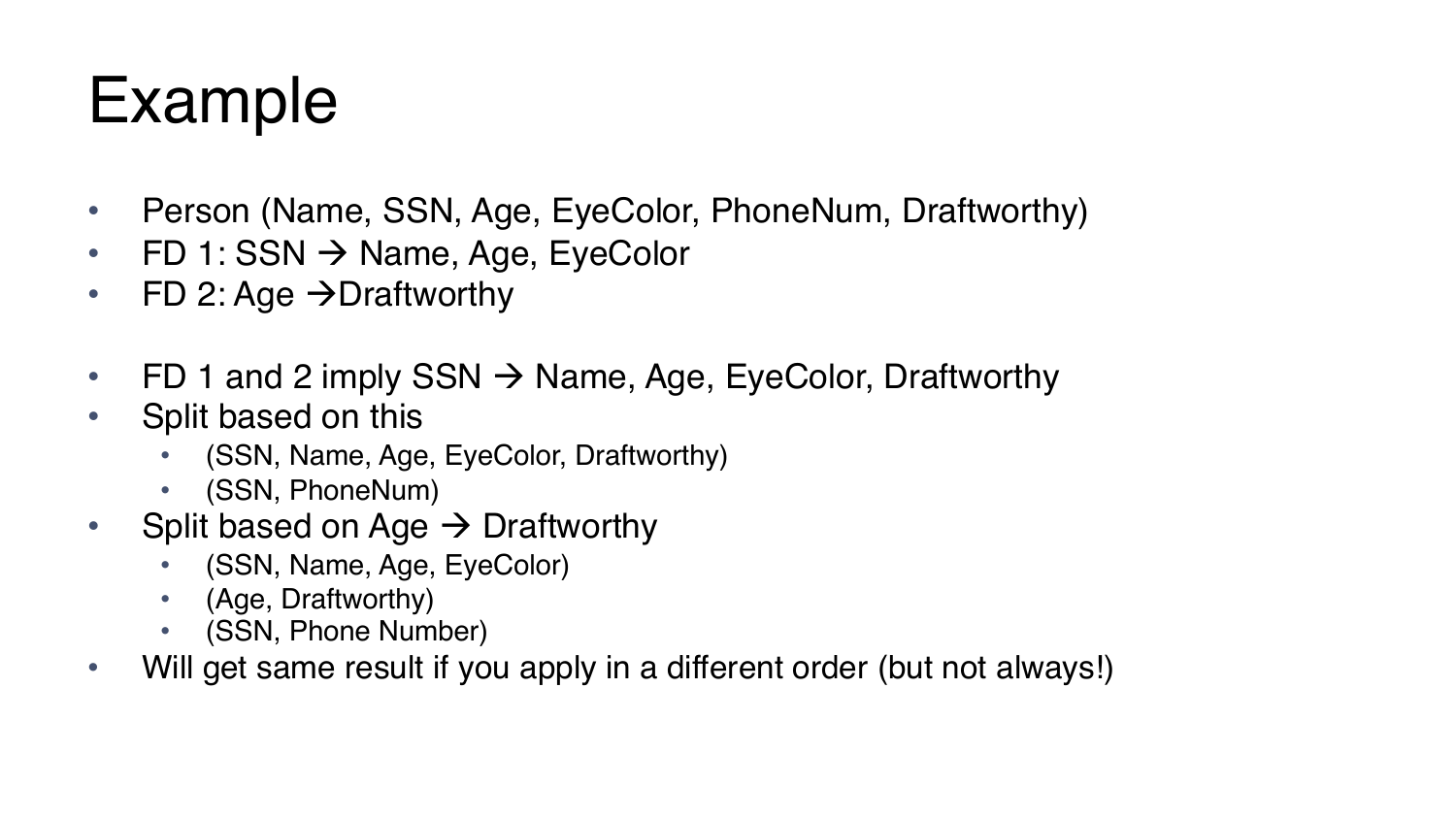- Person (Name, SSN, Age, EyeColor, PhoneNum, Draftworthy)
- FD 1: SSN  $\rightarrow$  Name, Age, EyeColor
- FD 2: Age  $\rightarrow$  Draftworthy
- FD 1 and 2 imply SSN  $\rightarrow$  Name, Age, EyeColor, Draftworthy
- Split based on this
	- (SSN, Name, Age, EyeColor, Draftworthy)
	- (SSN, PhoneNum)
- Split based on Age  $\rightarrow$  Draftworthy
	- (SSN, Name, Age, EyeColor)
	- (Age, Draftworthy)
	- (SSN, Phone Number)
- Will get same result if you apply in a different order (but not always!)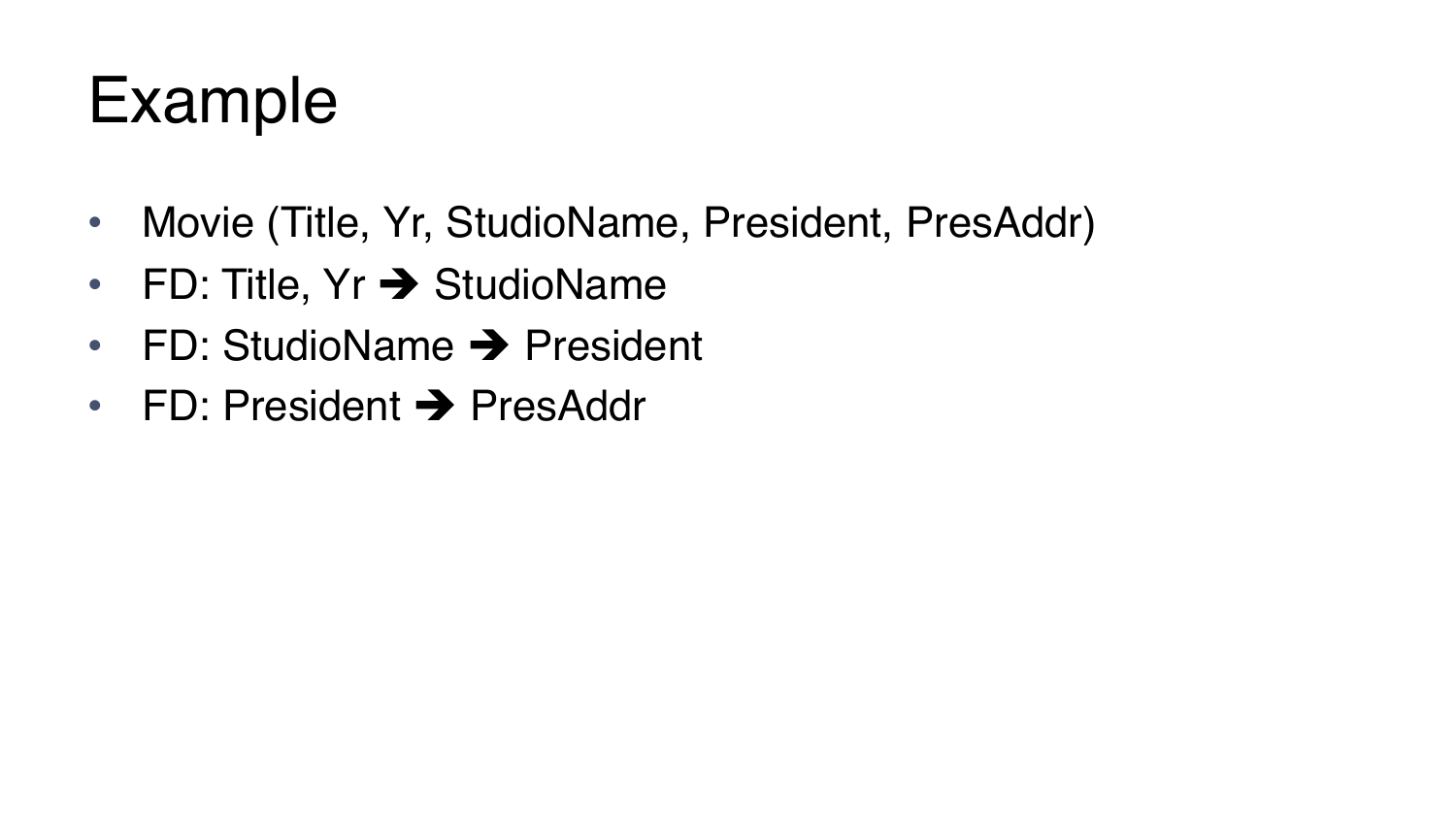- Movie (Title, Yr, StudioName, President, PresAddr)
- FD: Title,  $Yr \rightarrow$  StudioName
- FD: StudioName  $\rightarrow$  President
- FD: President  $\rightarrow$  PresAddr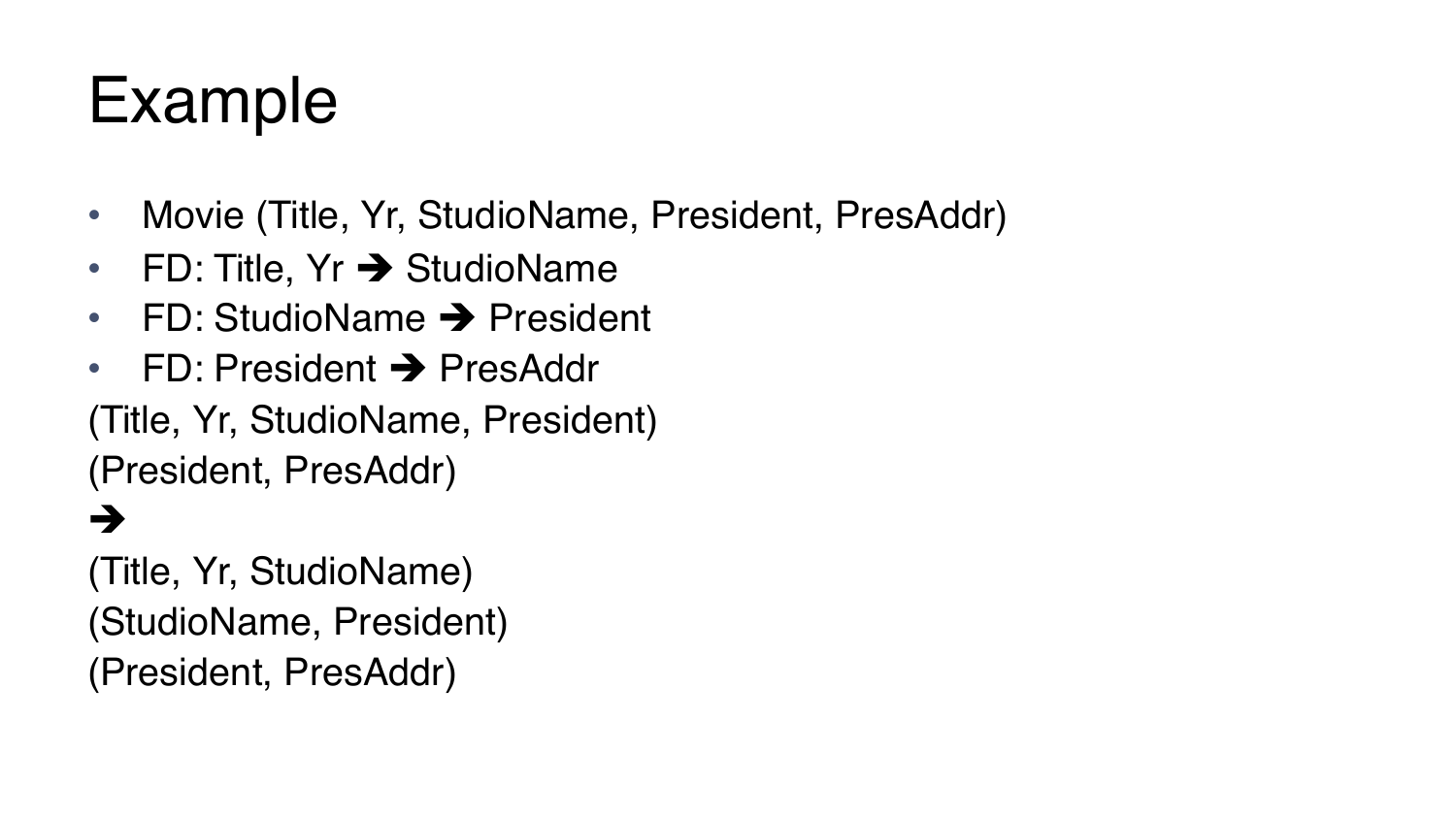- Movie (Title, Yr, StudioName, President, PresAddr)
- FD: Title,  $Yr \rightarrow$  StudioName
- FD: StudioName  $\rightarrow$  President
- FD: President  $\rightarrow$  PresAddr

(Title, Yr, StudioName, President) (President, PresAddr)

#### è

(Title, Yr, StudioName) (StudioName, President) (President, PresAddr)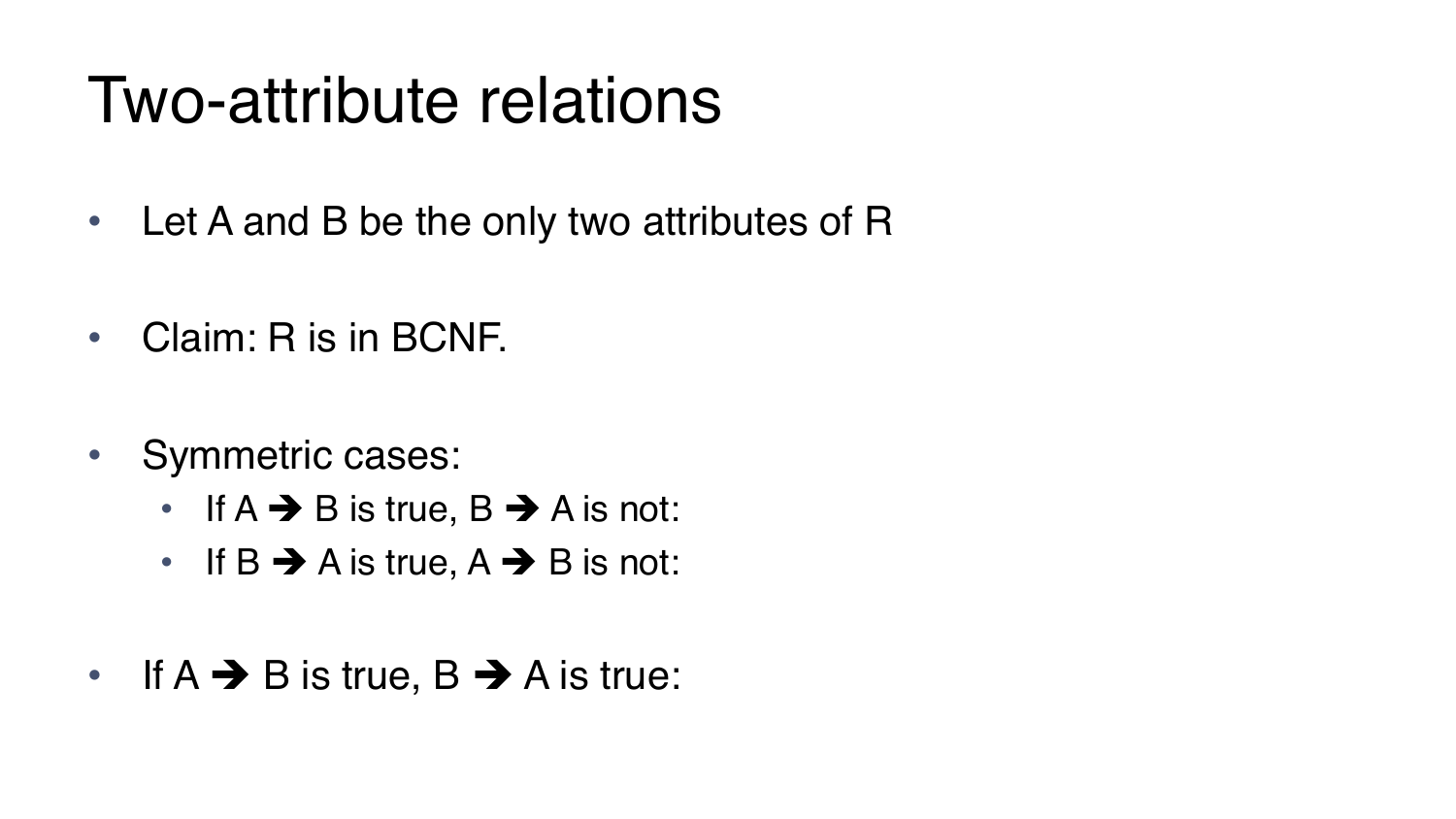### Two-attribute relations

- Let A and B be the only two attributes of R
- Claim: R is in BCNF.
- Symmetric cases:
	- If  $A \rightarrow B$  is true,  $B \rightarrow A$  is not:
	- If  $B \rightarrow A$  is true,  $A \rightarrow B$  is not:
- If  $A \rightarrow B$  is true,  $B \rightarrow A$  is true: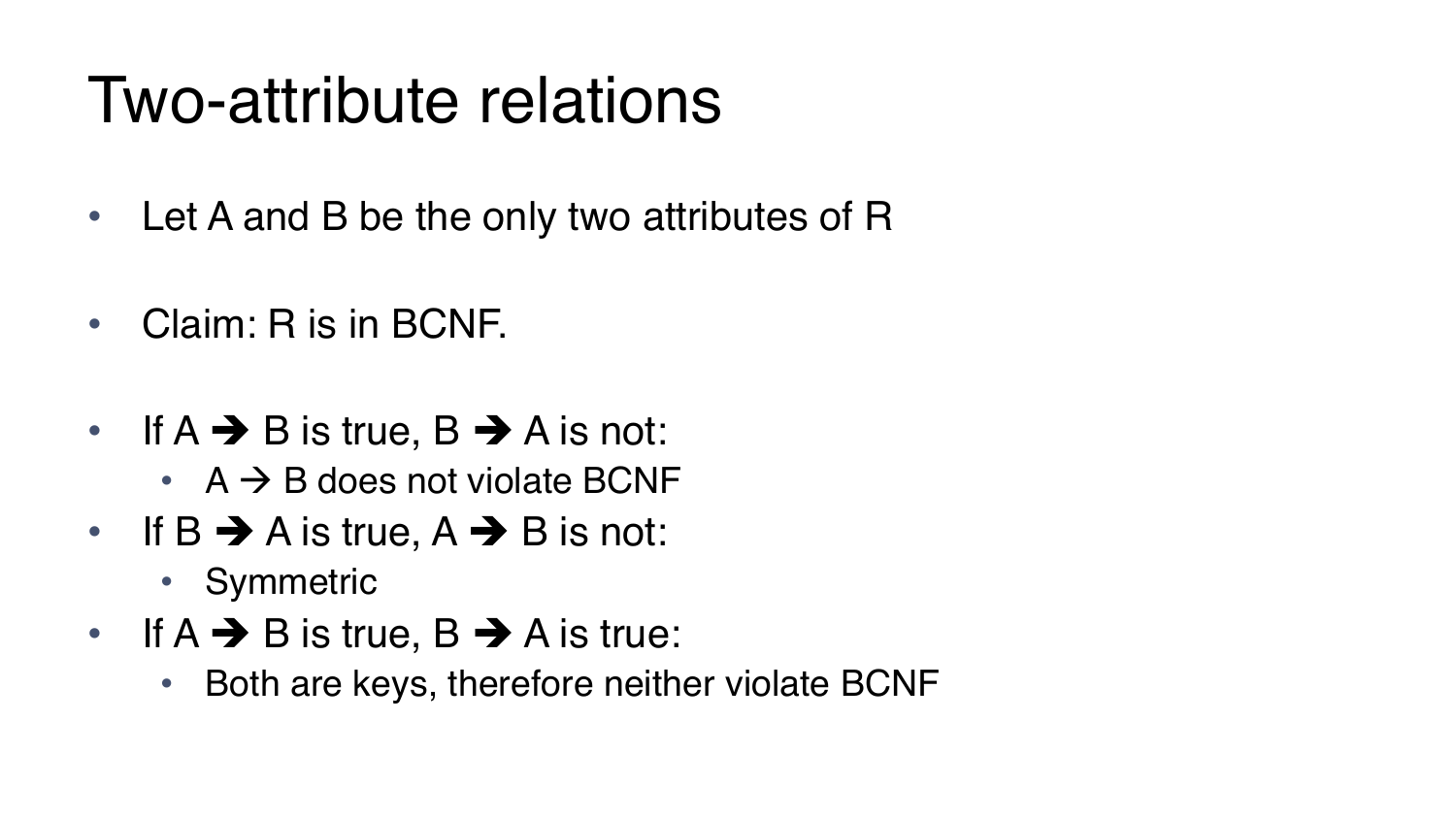### Two-attribute relations

- Let A and B be the only two attributes of R
- Claim: R is in BCNF.
- If  $A \rightarrow B$  is true,  $B \rightarrow A$  is not:
	- $A \rightarrow B$  does not violate BCNF
- If B  $\rightarrow$  A is true, A  $\rightarrow$  B is not:
	- Symmetric
- If  $A \rightarrow B$  is true,  $B \rightarrow A$  is true:
	- Both are keys, therefore neither violate BCNF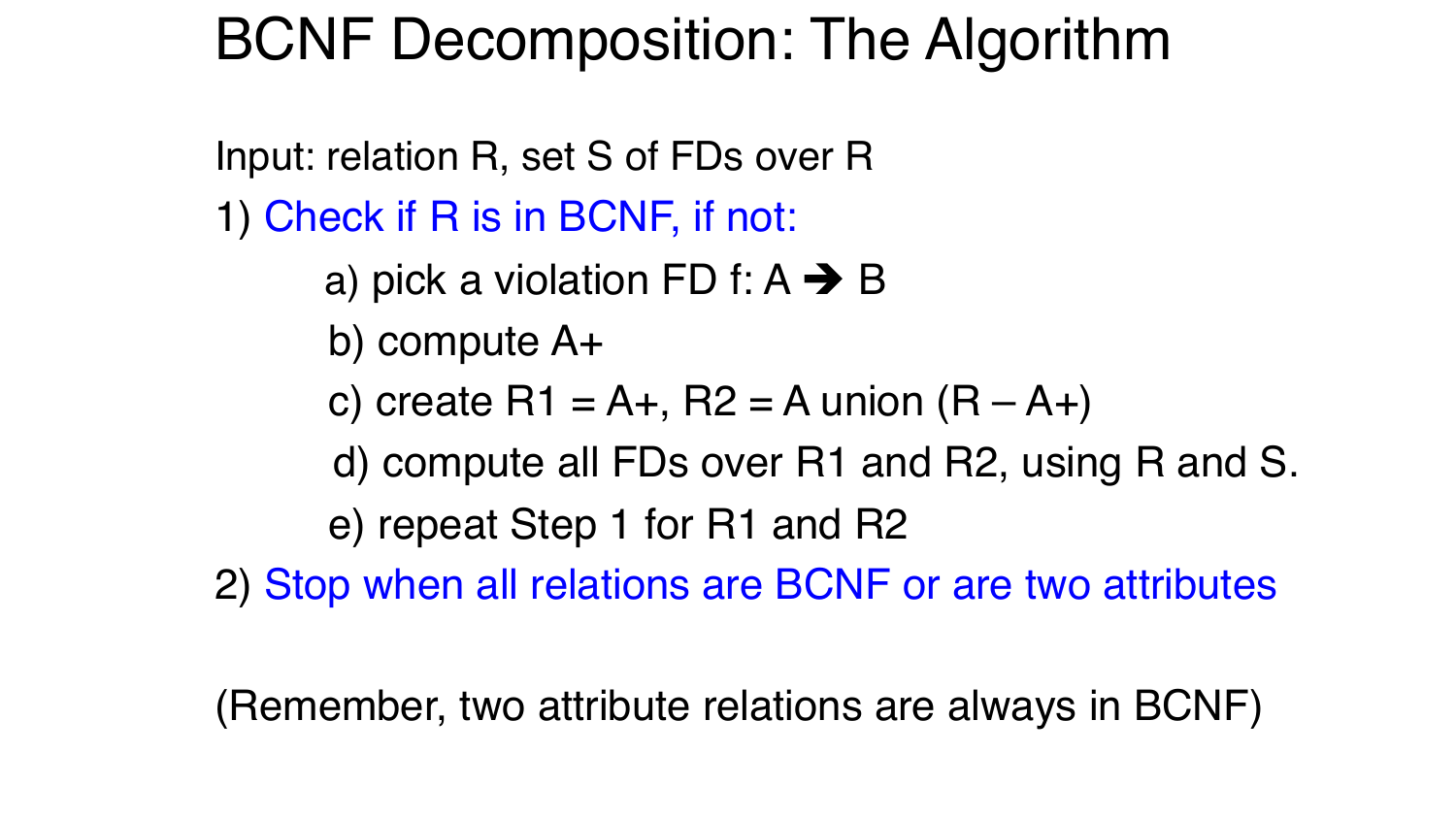### BCNF Decomposition: The Algorithm

Input: relation R, set S of FDs over R

- 1) Check if R is in BCNF, if not:
	- a) pick a violation FD f:  $A \rightarrow B$
	- b) compute A+
	- c) create  $R1 = A+$ ,  $R2 = A$  union  $(R A+)$
	- d) compute all FDs over R1 and R2, using R and S.

e) repeat Step 1 for R1 and R2

2) Stop when all relations are BCNF or are two attributes

(Remember, two attribute relations are always in BCNF)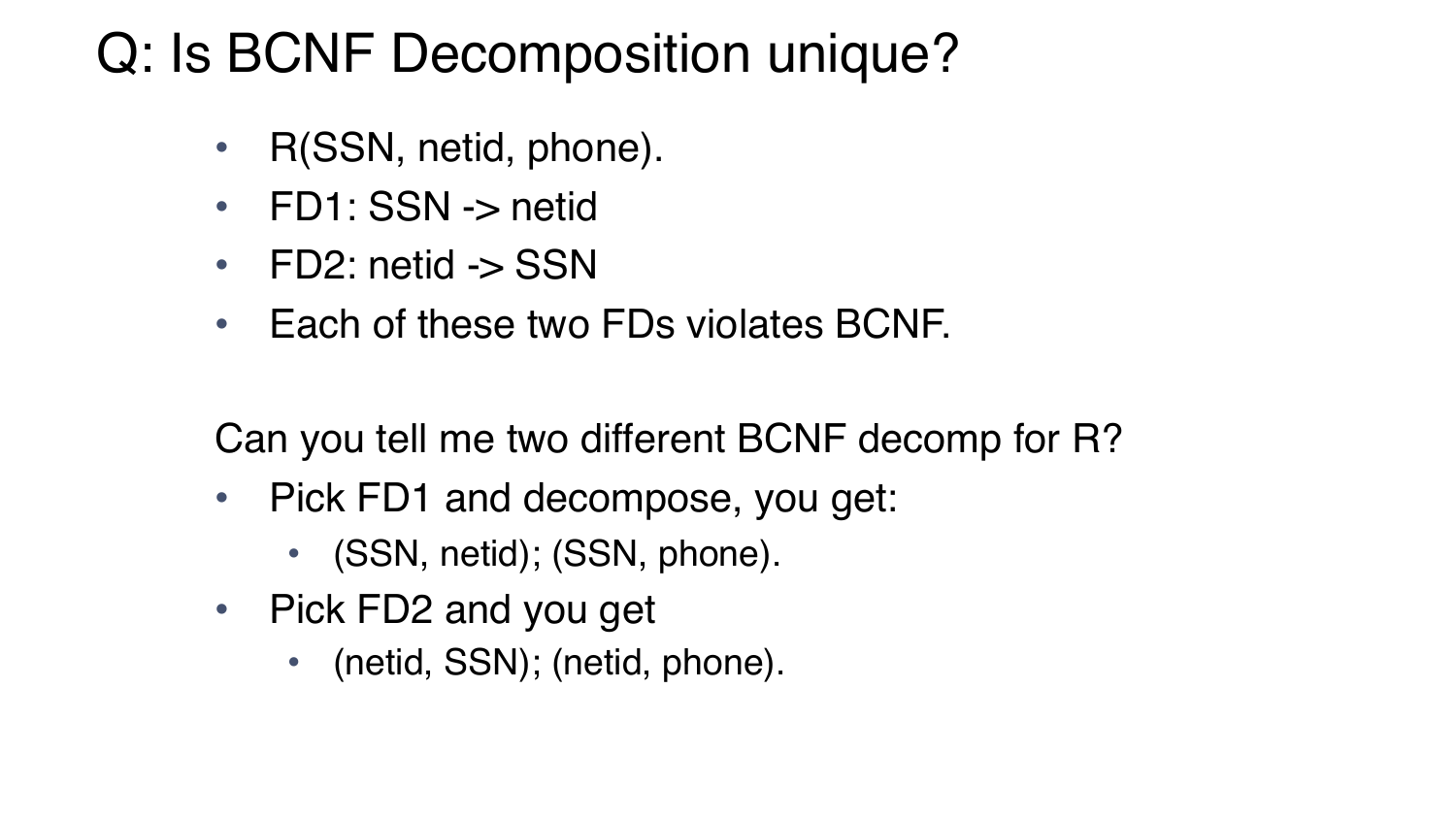### Q: Is BCNF Decomposition unique?

- R(SSN, netid, phone).
- FD1: SSN -> netid
- FD2: netid -> SSN
- Each of these two FDs violates BCNF.

Can you tell me two different BCNF decomp for R?

- Pick FD1 and decompose, you get:
	- (SSN, netid); (SSN, phone).
- Pick FD2 and you get
	- (netid, SSN); (netid, phone).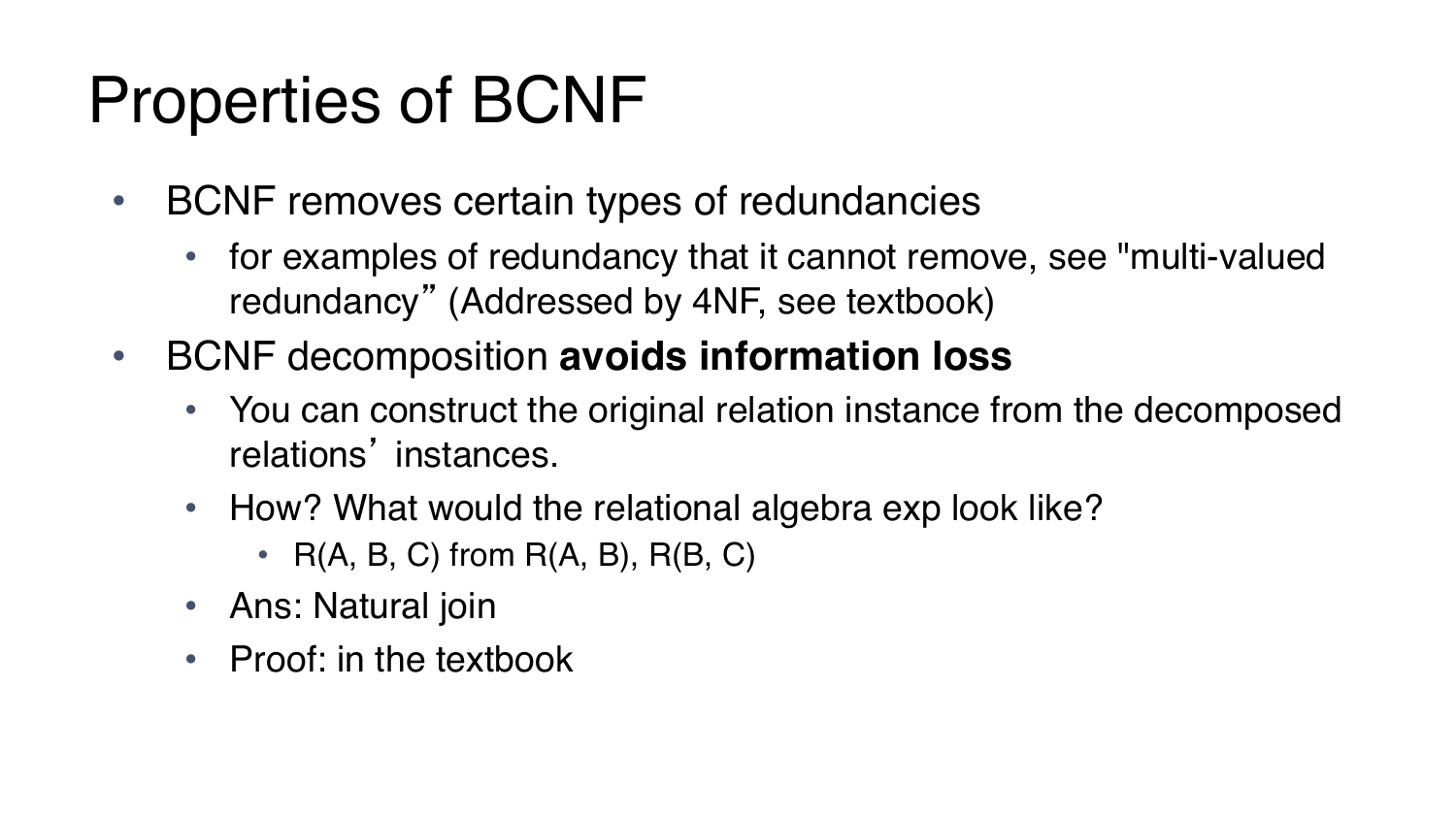### Properties of BCNF

- BCNF removes certain types of redundancies
	- for examples of redundancy that it cannot remove, see "multi-valued redundancy" (Addressed by 4NF, see textbook)
- BCNF decomposition **avoids information loss**
	- You can construct the original relation instance from the decomposed relations' instances.
	- How? What would the relational algebra exp look like?
		- $R(A, B, C)$  from  $R(A, B), R(B, C)$
	- Ans: Natural join
	- Proof: in the textbook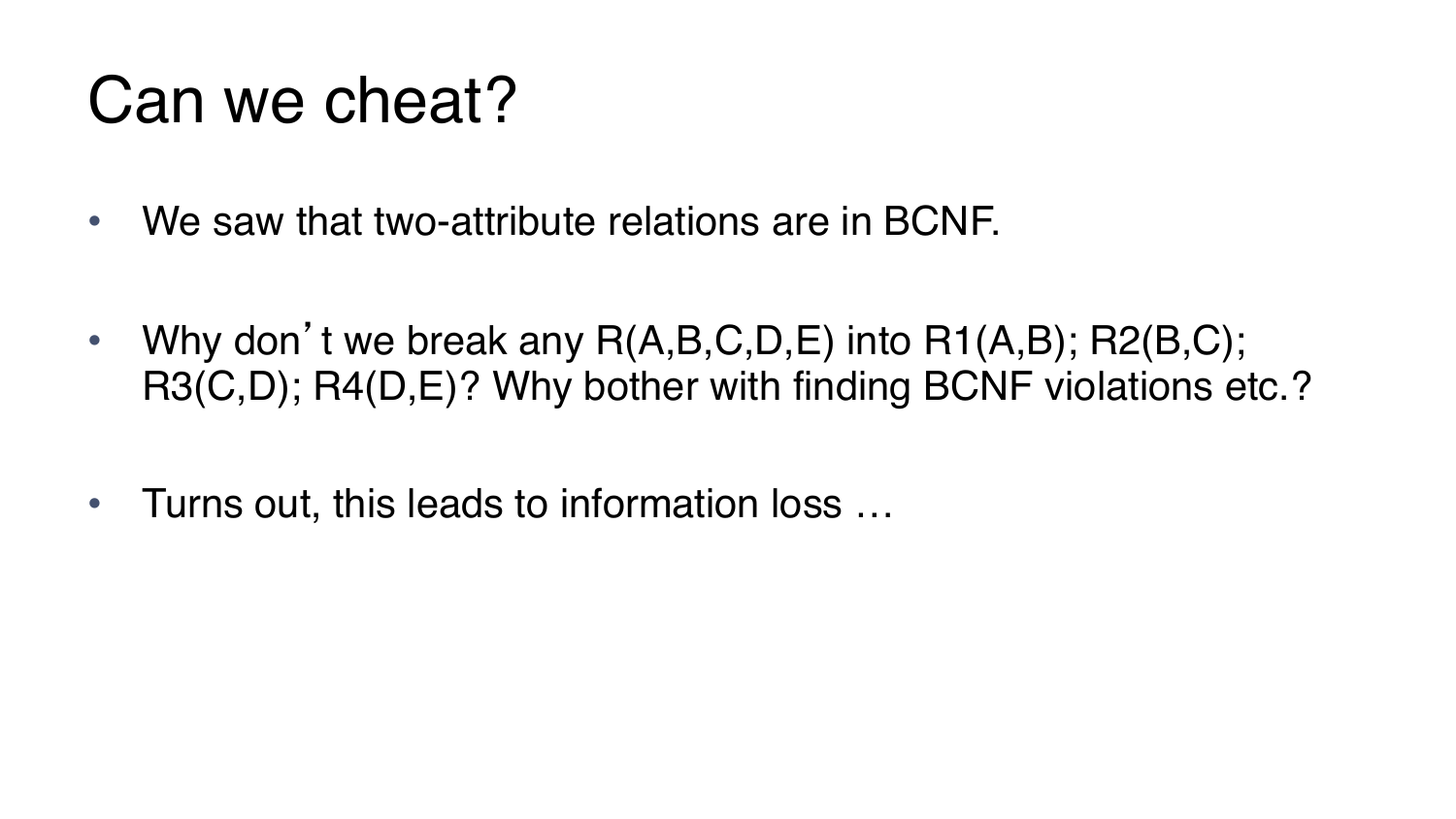### Can we cheat?

- We saw that two-attribute relations are in BCNF.
- Why don't we break any  $R(A,B,C,D,E)$  into  $R1(A,B)$ ;  $R2(B,C)$ ; R3(C,D); R4(D,E)? Why bother with finding BCNF violations etc.?
- Turns out, this leads to information loss …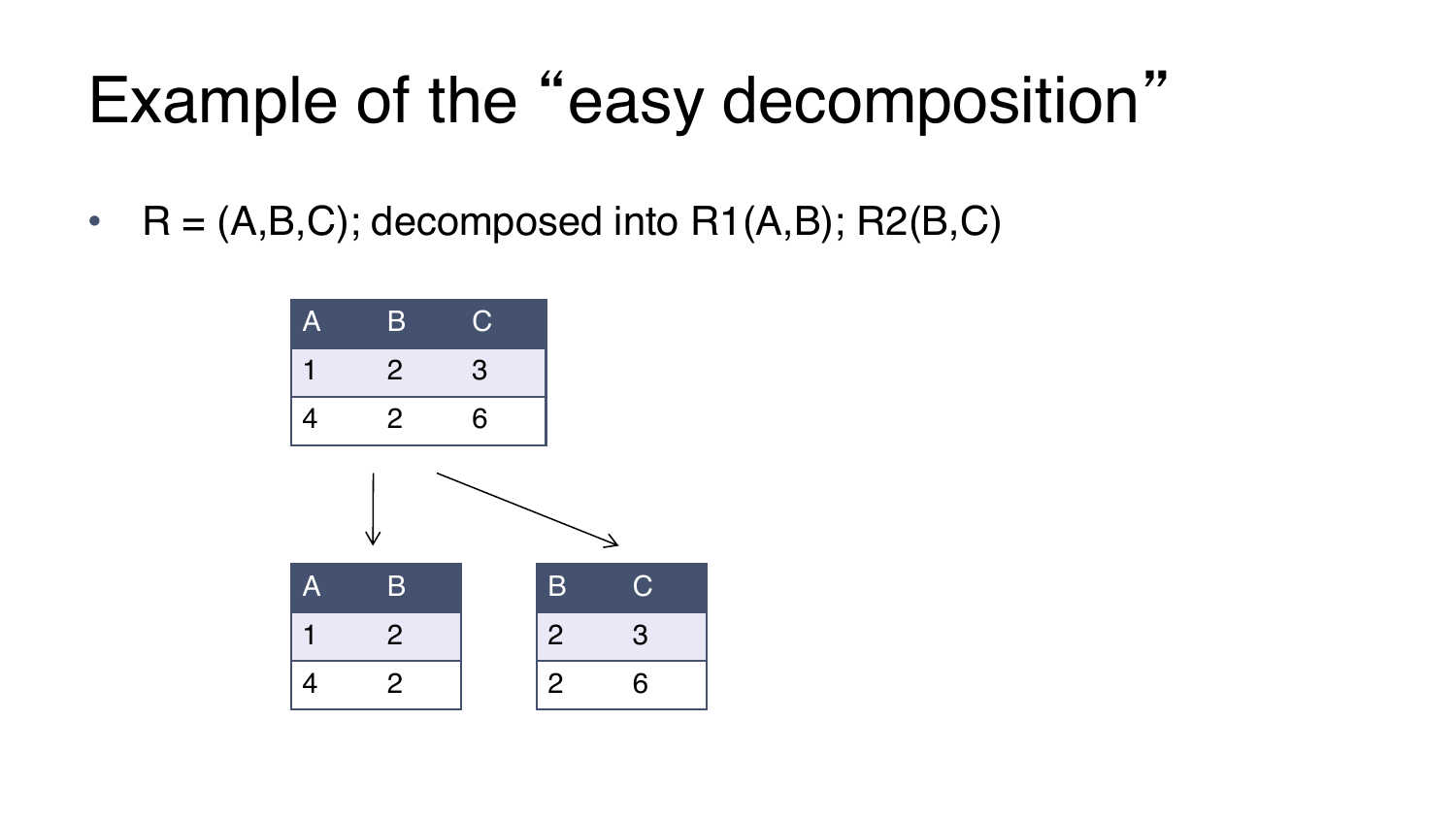# Example of the "easy decomposition"

•  $R = (A,B,C)$ ; decomposed into  $R1(A,B)$ ; R2 $(B,C)$ 

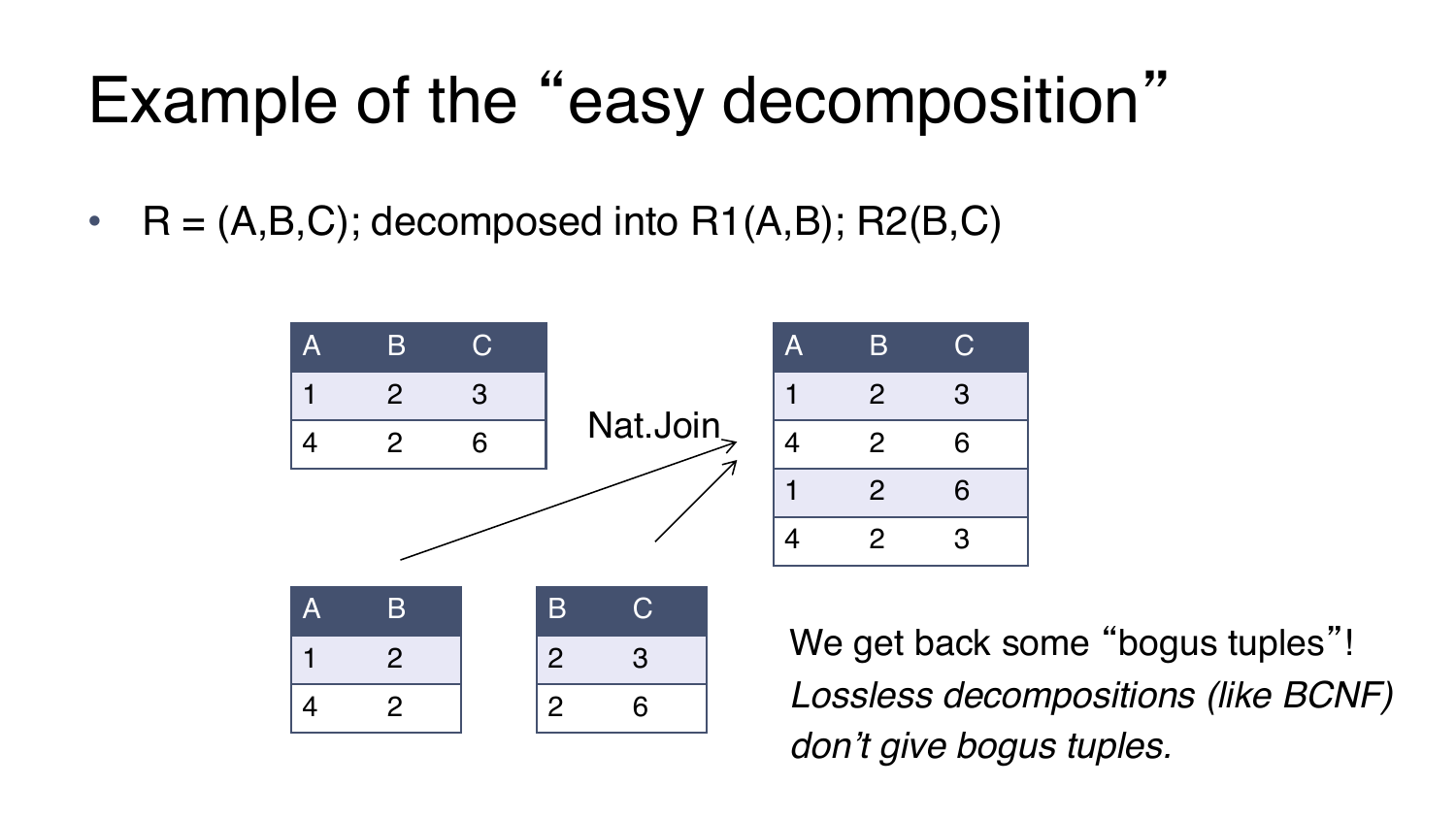# Example of the "easy decomposition"

•  $R = (A,B,C)$ ; decomposed into  $R1(A,B)$ ; R2 $(B,C)$ 

4 2



2 6

We get back some "bogus tuples"! *Lossless decompositions (like BCNF) don't give bogus tuples.*